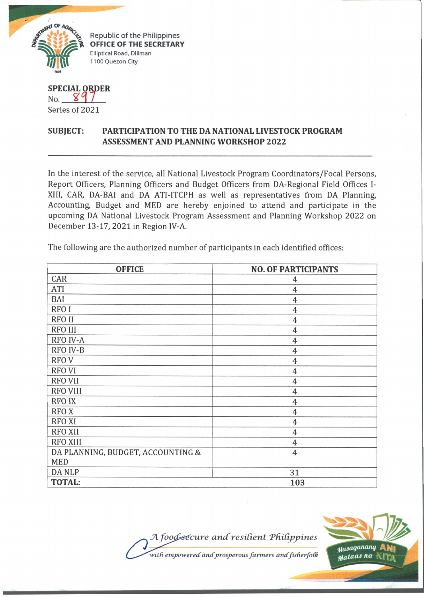

Republic of the Philippines **OFFICE OF THE SECRETARY** Elliptical Road, Diliman 1100 Quezon City

**SPECIAL ORD ER** No. *W 7* Series of 2021

## **SUBJECT: PARTICIPATION TO THE DA NATIONAL LIVESTOCK PROGRAM ASSESSMENT AND PLANNING WORKSHOP 2022**

In the interest of the service, all National Livestock Program Coordinators/Focal Persons, Report Officers, Planning Officers and Budget Officers from DA-Regional Field Offices I-XIII, CAR, DA-BAI and DA ATI-ITCPH as well as representatives from DA Planning, Accounting, Budget and MED are hereby enjoined to attend and participate in the upcoming DA National Livestock Program Assessment and Planning Workshop 2022 on December 13-17, 2021 in Region IV-A.

The following are the authorized number of participants in each identified offices:

| <b>OFFICE</b>                     | <b>NO. OF PARTICIPANTS</b> |
|-----------------------------------|----------------------------|
| CAR                               | 4                          |
| ATI                               | $\overline{4}$             |
| BAI                               | $\overline{4}$             |
| <b>RFOI</b>                       | $\overline{4}$             |
| <b>RFO II</b>                     | 4                          |
| <b>RFO III</b>                    | $\overline{4}$             |
| <b>RFO IV-A</b>                   | $\overline{4}$             |
| RFO IV-B                          | $\overline{4}$             |
| <b>RFOV</b>                       | 4                          |
| <b>RFO VI</b>                     | 4                          |
| <b>RFO VII</b>                    | 4                          |
| <b>RFO VIII</b>                   | $\overline{4}$             |
| <b>RFO IX</b>                     | $\overline{4}$             |
| <b>RFOX</b>                       | 4                          |
| <b>RFO XI</b>                     | 4                          |
| <b>RFO XII</b>                    | $\overline{4}$             |
| <b>RFO XIII</b>                   | $\overline{4}$             |
| DA PLANNING, BUDGET, ACCOUNTING & | $\overline{4}$             |
| <b>MED</b>                        |                            |
| <b>DANLP</b>                      | 31                         |
| <b>TOTAL:</b>                     | 103                        |

*JA foo^sdcure a n d resident TfUCipjpines ■with empoweredr andprosperous fanners andfisfierfo(k*